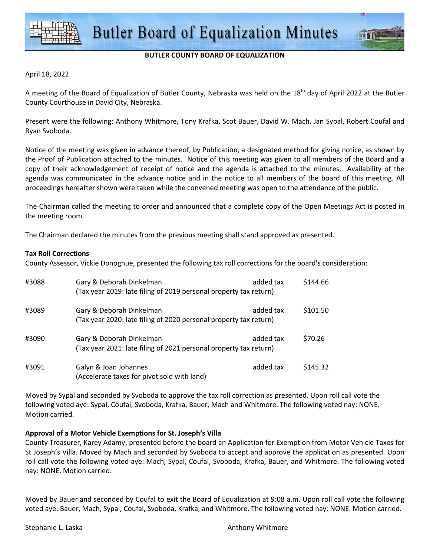

## **BUTLER COUNTY BOARD OF EQUALIZATION**

#### April 18, 2022

A meeting of the Board of Equalization of Butler County, Nebraska was held on the  $18<sup>th</sup>$  day of April 2022 at the Butler County Courthouse in David City, Nebraska.

Present were the following: Anthony Whitmore, Tony Krafka, Scot Bauer, David W. Mach, Jan Sypal, Robert Coufal and Ryan Svoboda.

Notice of the meeting was given in advance thereof, by Publication, a designated method for giving notice, as shown by the Proof of Publication attached to the minutes. Notice of this meeting was given to all members of the Board and a copy of their acknowledgement of receipt of notice and the agenda is attached to the minutes. Availability of the agenda was communicated in the advance notice and in the notice to all members of the board of this meeting. All proceedings hereafter shown were taken while the convened meeting was open to the attendance of the public.

The Chairman called the meeting to order and announced that a complete copy of the Open Meetings Act is posted in the meeting room.

The Chairman declared the minutes from the previous meeting shall stand approved as presented.

### **Tax Roll Corrections**

County Assessor, Vickie Donoghue, presented the following tax roll corrections for the board's consideration:

| #3088 | Gary & Deborah Dinkelman<br>(Tax year 2019: late filing of 2019 personal property tax return) | added tax | \$144.66 |
|-------|-----------------------------------------------------------------------------------------------|-----------|----------|
| #3089 | Gary & Deborah Dinkelman<br>(Tax year 2020: late filing of 2020 personal property tax return) | added tax | \$101.50 |
| #3090 | Gary & Deborah Dinkelman<br>(Tax year 2021: late filing of 2021 personal property tax return) | added tax | \$70.26  |
| #3091 | Galyn & Joan Johannes<br>(Accelerate taxes for pivot sold with land)                          | added tax | \$145.32 |

Moved by Sypal and seconded by Svoboda to approve the tax roll correction as presented. Upon roll call vote the following voted aye: Sypal, Coufal, Svoboda, Krafka, Bauer, Mach and Whitmore. The following voted nay: NONE. Motion carried.

## **Approval of a Motor Vehicle Exemptions for St. Joseph's Villa**

County Treasurer, Karey Adamy, presented before the board an Application for Exemption from Motor Vehicle Taxes for St Joseph's Villa. Moved by Mach and seconded by Svoboda to accept and approve the application as presented. Upon roll call vote the following voted aye: Mach, Sypal, Coufal, Svoboda, Krafka, Bauer, and Whitmore. The following voted nay: NONE. Motion carried.

Moved by Bauer and seconded by Coufal to exit the Board of Equalization at 9:08 a.m. Upon roll call vote the following voted aye: Bauer, Mach, Sypal, Coufal, Svoboda, Krafka, and Whitmore. The following voted nay: NONE. Motion carried.